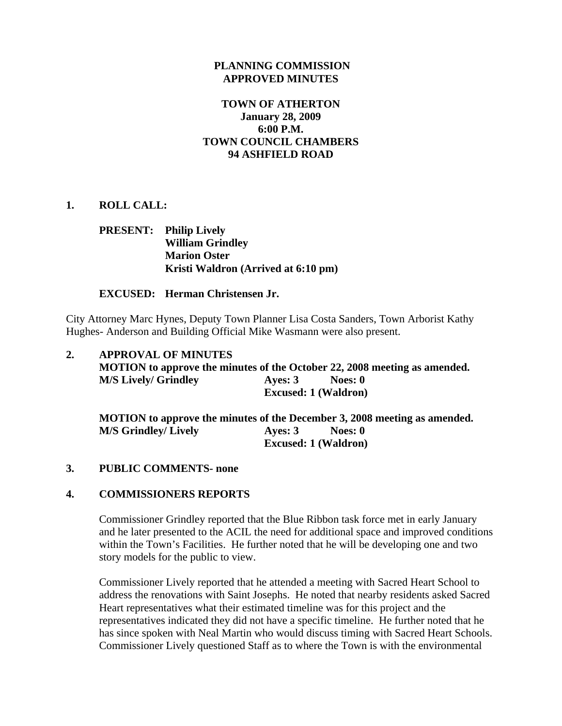#### **PLANNING COMMISSION APPROVED MINUTES**

### **TOWN OF ATHERTON January 28, 2009 6:00 P.M. TOWN COUNCIL CHAMBERS 94 ASHFIELD ROAD**

### **1. ROLL CALL:**

# **PRESENT: Philip Lively William Grindley Marion Oster Kristi Waldron (Arrived at 6:10 pm)**

#### **EXCUSED: Herman Christensen Jr.**

City Attorney Marc Hynes, Deputy Town Planner Lisa Costa Sanders, Town Arborist Kathy Hughes- Anderson and Building Official Mike Wasmann were also present.

| 2. | <b>APPROVAL OF MINUTES</b><br>MOTION to approve the minutes of the October 22, 2008 meeting as amended. |                             |  |  |
|----|---------------------------------------------------------------------------------------------------------|-----------------------------|--|--|
|    |                                                                                                         |                             |  |  |
|    | <b>M/S Lively/ Grindley</b>                                                                             | Ayes: $3$<br>Noes: 0        |  |  |
|    | <b>Excused: 1 (Waldron)</b>                                                                             |                             |  |  |
|    | MOTION to approve the minutes of the December 3, 2008 meeting as amended.                               |                             |  |  |
|    | <b>M/S Grindley/ Lively</b>                                                                             | Ayes: $3$<br>Noes: 0        |  |  |
|    |                                                                                                         | <b>Excused: 1 (Waldron)</b> |  |  |

#### **3. PUBLIC COMMENTS- none**

#### **4. COMMISSIONERS REPORTS**

Commissioner Grindley reported that the Blue Ribbon task force met in early January and he later presented to the ACIL the need for additional space and improved conditions within the Town's Facilities. He further noted that he will be developing one and two story models for the public to view.

Commissioner Lively reported that he attended a meeting with Sacred Heart School to address the renovations with Saint Josephs. He noted that nearby residents asked Sacred Heart representatives what their estimated timeline was for this project and the representatives indicated they did not have a specific timeline. He further noted that he has since spoken with Neal Martin who would discuss timing with Sacred Heart Schools. Commissioner Lively questioned Staff as to where the Town is with the environmental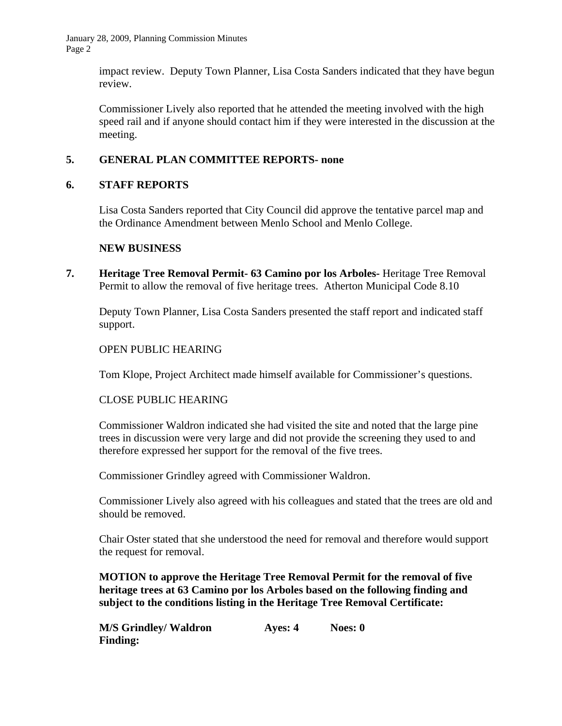January 28, 2009, Planning Commission Minutes Page 2

> impact review. Deputy Town Planner, Lisa Costa Sanders indicated that they have begun review.

> Commissioner Lively also reported that he attended the meeting involved with the high speed rail and if anyone should contact him if they were interested in the discussion at the meeting.

# **5. GENERAL PLAN COMMITTEE REPORTS- none**

## **6. STAFF REPORTS**

Lisa Costa Sanders reported that City Council did approve the tentative parcel map and the Ordinance Amendment between Menlo School and Menlo College.

### **NEW BUSINESS**

**7. Heritage Tree Removal Permit- 63 Camino por los Arboles-** Heritage Tree Removal Permit to allow the removal of five heritage trees. Atherton Municipal Code 8.10

Deputy Town Planner, Lisa Costa Sanders presented the staff report and indicated staff support.

## OPEN PUBLIC HEARING

Tom Klope, Project Architect made himself available for Commissioner's questions.

## CLOSE PUBLIC HEARING

Commissioner Waldron indicated she had visited the site and noted that the large pine trees in discussion were very large and did not provide the screening they used to and therefore expressed her support for the removal of the five trees.

Commissioner Grindley agreed with Commissioner Waldron.

Commissioner Lively also agreed with his colleagues and stated that the trees are old and should be removed.

Chair Oster stated that she understood the need for removal and therefore would support the request for removal.

 **MOTION to approve the Heritage Tree Removal Permit for the removal of five heritage trees at 63 Camino por los Arboles based on the following finding and subject to the conditions listing in the Heritage Tree Removal Certificate:** 

| <b>M/S Grindley/ Waldron</b> | Ayes: 4 | Noes: 0 |
|------------------------------|---------|---------|
| <b>Finding:</b>              |         |         |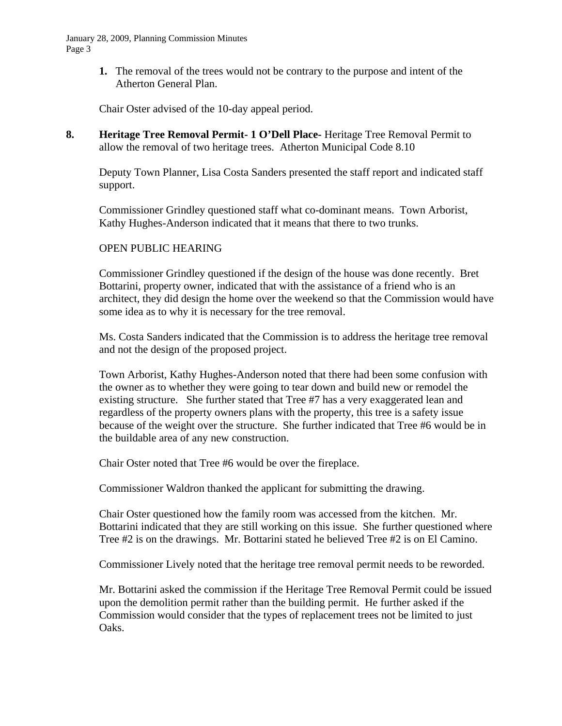January 28, 2009, Planning Commission Minutes Page 3

> **1.** The removal of the trees would not be contrary to the purpose and intent of the Atherton General Plan.

Chair Oster advised of the 10-day appeal period.

**8. Heritage Tree Removal Permit- 1 O'Dell Place-** Heritage Tree Removal Permit to allow the removal of two heritage trees. Atherton Municipal Code 8.10

Deputy Town Planner, Lisa Costa Sanders presented the staff report and indicated staff support.

Commissioner Grindley questioned staff what co-dominant means. Town Arborist, Kathy Hughes-Anderson indicated that it means that there to two trunks.

### OPEN PUBLIC HEARING

 Commissioner Grindley questioned if the design of the house was done recently. Bret Bottarini, property owner, indicated that with the assistance of a friend who is an architect, they did design the home over the weekend so that the Commission would have some idea as to why it is necessary for the tree removal.

Ms. Costa Sanders indicated that the Commission is to address the heritage tree removal and not the design of the proposed project.

Town Arborist, Kathy Hughes-Anderson noted that there had been some confusion with the owner as to whether they were going to tear down and build new or remodel the existing structure. She further stated that Tree #7 has a very exaggerated lean and regardless of the property owners plans with the property, this tree is a safety issue because of the weight over the structure. She further indicated that Tree #6 would be in the buildable area of any new construction.

Chair Oster noted that Tree #6 would be over the fireplace.

Commissioner Waldron thanked the applicant for submitting the drawing.

Chair Oster questioned how the family room was accessed from the kitchen. Mr. Bottarini indicated that they are still working on this issue. She further questioned where Tree #2 is on the drawings. Mr. Bottarini stated he believed Tree #2 is on El Camino.

Commissioner Lively noted that the heritage tree removal permit needs to be reworded.

Mr. Bottarini asked the commission if the Heritage Tree Removal Permit could be issued upon the demolition permit rather than the building permit. He further asked if the Commission would consider that the types of replacement trees not be limited to just Oaks.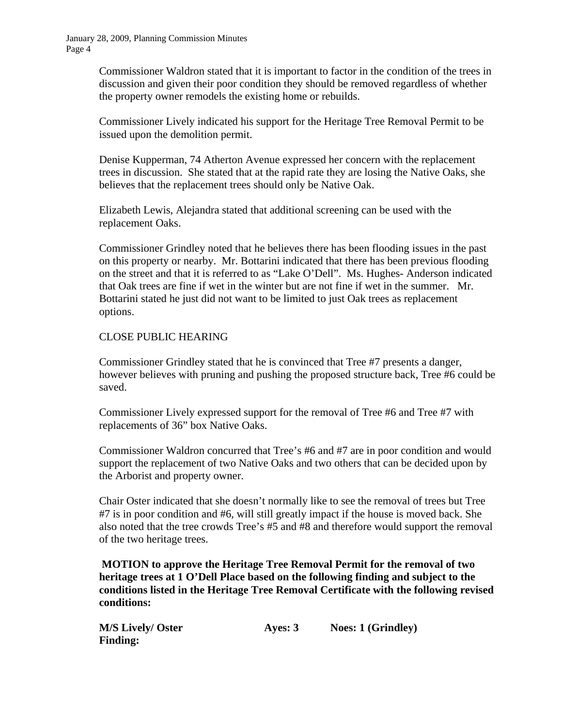Commissioner Waldron stated that it is important to factor in the condition of the trees in discussion and given their poor condition they should be removed regardless of whether the property owner remodels the existing home or rebuilds.

Commissioner Lively indicated his support for the Heritage Tree Removal Permit to be issued upon the demolition permit.

Denise Kupperman, 74 Atherton Avenue expressed her concern with the replacement trees in discussion. She stated that at the rapid rate they are losing the Native Oaks, she believes that the replacement trees should only be Native Oak.

Elizabeth Lewis, Alejandra stated that additional screening can be used with the replacement Oaks.

Commissioner Grindley noted that he believes there has been flooding issues in the past on this property or nearby. Mr. Bottarini indicated that there has been previous flooding on the street and that it is referred to as "Lake O'Dell". Ms. Hughes- Anderson indicated that Oak trees are fine if wet in the winter but are not fine if wet in the summer. Mr. Bottarini stated he just did not want to be limited to just Oak trees as replacement options.

### CLOSE PUBLIC HEARING

Commissioner Grindley stated that he is convinced that Tree #7 presents a danger, however believes with pruning and pushing the proposed structure back, Tree #6 could be saved.

Commissioner Lively expressed support for the removal of Tree #6 and Tree #7 with replacements of 36" box Native Oaks.

Commissioner Waldron concurred that Tree's #6 and #7 are in poor condition and would support the replacement of two Native Oaks and two others that can be decided upon by the Arborist and property owner.

Chair Oster indicated that she doesn't normally like to see the removal of trees but Tree #7 is in poor condition and #6, will still greatly impact if the house is moved back. She also noted that the tree crowds Tree's #5 and #8 and therefore would support the removal of the two heritage trees.

 **MOTION to approve the Heritage Tree Removal Permit for the removal of two heritage trees at 1 O'Dell Place based on the following finding and subject to the conditions listed in the Heritage Tree Removal Certificate with the following revised conditions:** 

| <b>M/S Lively/ Oster</b> | Ayes: 3 | <b>Noes: 1 (Grindley)</b> |
|--------------------------|---------|---------------------------|
| <b>Finding:</b>          |         |                           |